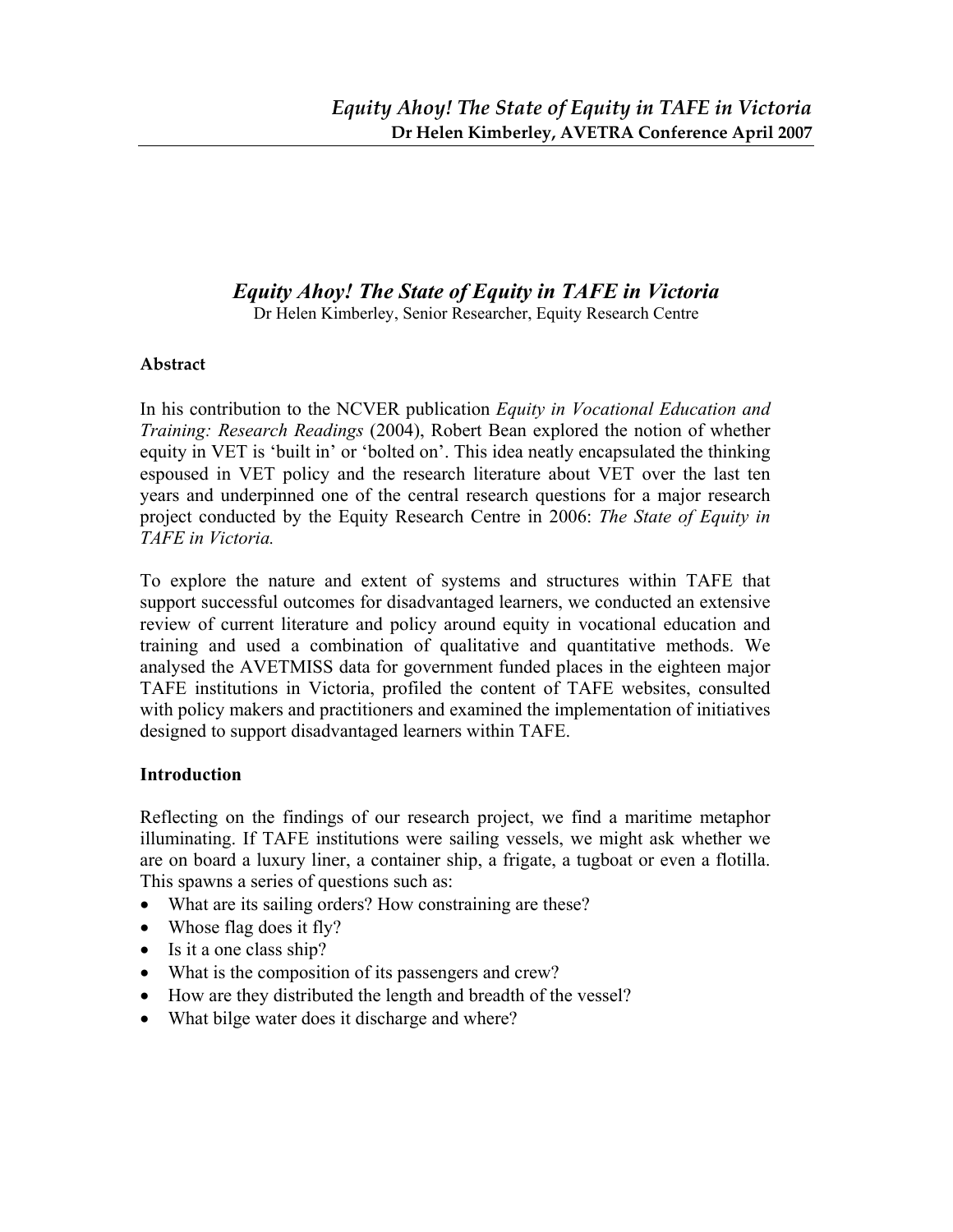# *Equity Ahoy! The State of Equity in TAFE in Victoria*

Dr Helen Kimberley, Senior Researcher, Equity Research Centre

### **Abstract**

In his contribution to the NCVER publication *Equity in Vocational Education and Training: Research Readings* (2004), Robert Bean explored the notion of whether equity in VET is 'built in' or 'bolted on'. This idea neatly encapsulated the thinking espoused in VET policy and the research literature about VET over the last ten years and underpinned one of the central research questions for a major research project conducted by the Equity Research Centre in 2006: *The State of Equity in TAFE in Victoria.* 

To explore the nature and extent of systems and structures within TAFE that support successful outcomes for disadvantaged learners, we conducted an extensive review of current literature and policy around equity in vocational education and training and used a combination of qualitative and quantitative methods. We analysed the AVETMISS data for government funded places in the eighteen major TAFE institutions in Victoria, profiled the content of TAFE websites, consulted with policy makers and practitioners and examined the implementation of initiatives designed to support disadvantaged learners within TAFE.

### **Introduction**

Reflecting on the findings of our research project, we find a maritime metaphor illuminating. If TAFE institutions were sailing vessels, we might ask whether we are on board a luxury liner, a container ship, a frigate, a tugboat or even a flotilla. This spawns a series of questions such as:

- What are its sailing orders? How constraining are these?
- Whose flag does it fly?
- Is it a one class ship?
- What is the composition of its passengers and crew?
- How are they distributed the length and breadth of the vessel?
- What bilge water does it discharge and where?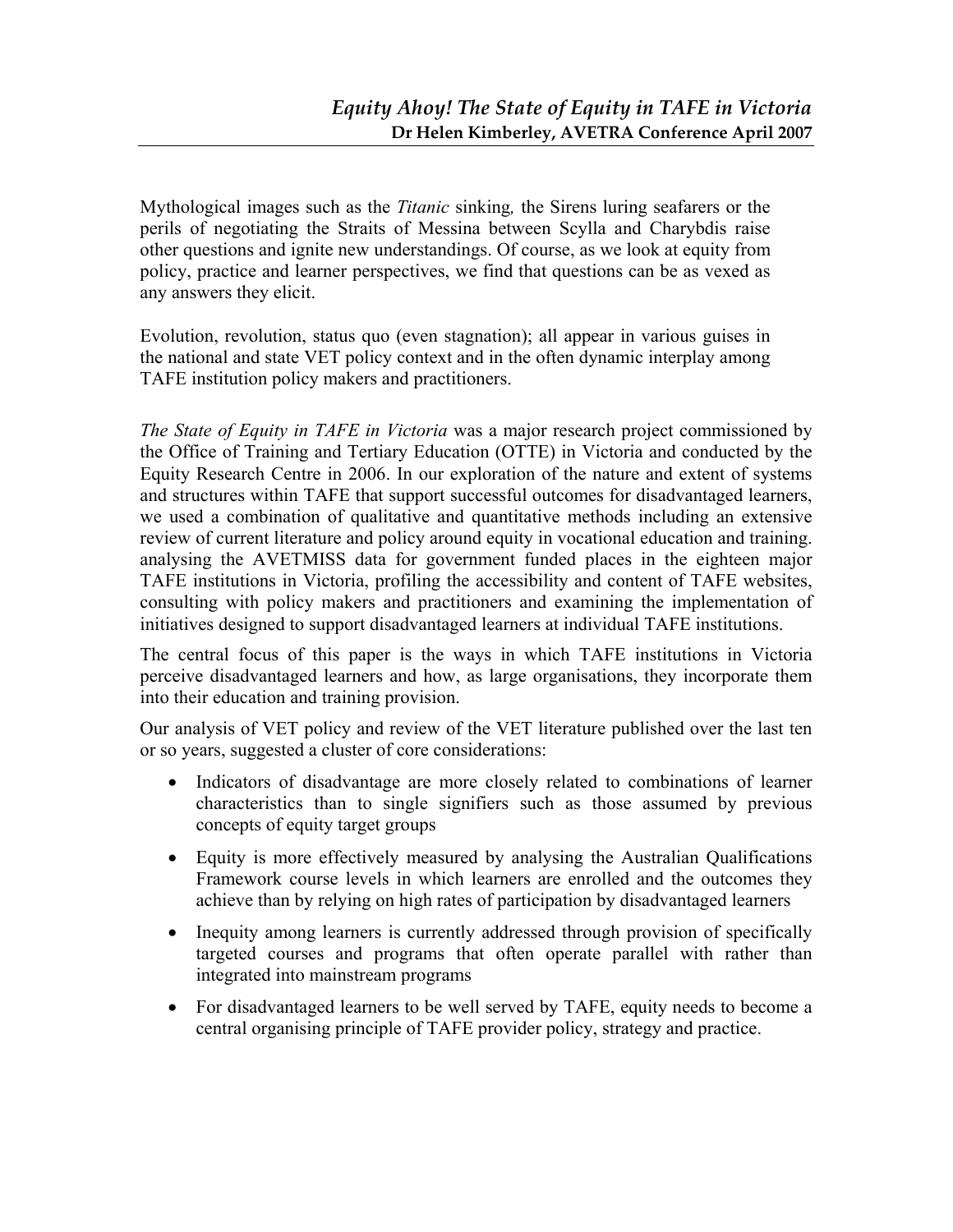Mythological images such as the *Titanic* sinking*,* the Sirens luring seafarers or the perils of negotiating the Straits of Messina between Scylla and Charybdis raise other questions and ignite new understandings. Of course, as we look at equity from policy, practice and learner perspectives, we find that questions can be as vexed as any answers they elicit.

Evolution, revolution, status quo (even stagnation); all appear in various guises in the national and state VET policy context and in the often dynamic interplay among TAFE institution policy makers and practitioners.

*The State of Equity in TAFE in Victoria* was a major research project commissioned by the Office of Training and Tertiary Education (OTTE) in Victoria and conducted by the Equity Research Centre in 2006. In our exploration of the nature and extent of systems and structures within TAFE that support successful outcomes for disadvantaged learners, we used a combination of qualitative and quantitative methods including an extensive review of current literature and policy around equity in vocational education and training. analysing the AVETMISS data for government funded places in the eighteen major TAFE institutions in Victoria, profiling the accessibility and content of TAFE websites, consulting with policy makers and practitioners and examining the implementation of initiatives designed to support disadvantaged learners at individual TAFE institutions.

The central focus of this paper is the ways in which TAFE institutions in Victoria perceive disadvantaged learners and how, as large organisations, they incorporate them into their education and training provision.

Our analysis of VET policy and review of the VET literature published over the last ten or so years, suggested a cluster of core considerations:

- Indicators of disadvantage are more closely related to combinations of learner characteristics than to single signifiers such as those assumed by previous concepts of equity target groups
- Equity is more effectively measured by analysing the Australian Qualifications Framework course levels in which learners are enrolled and the outcomes they achieve than by relying on high rates of participation by disadvantaged learners
- Inequity among learners is currently addressed through provision of specifically targeted courses and programs that often operate parallel with rather than integrated into mainstream programs
- For disadvantaged learners to be well served by TAFE, equity needs to become a central organising principle of TAFE provider policy, strategy and practice.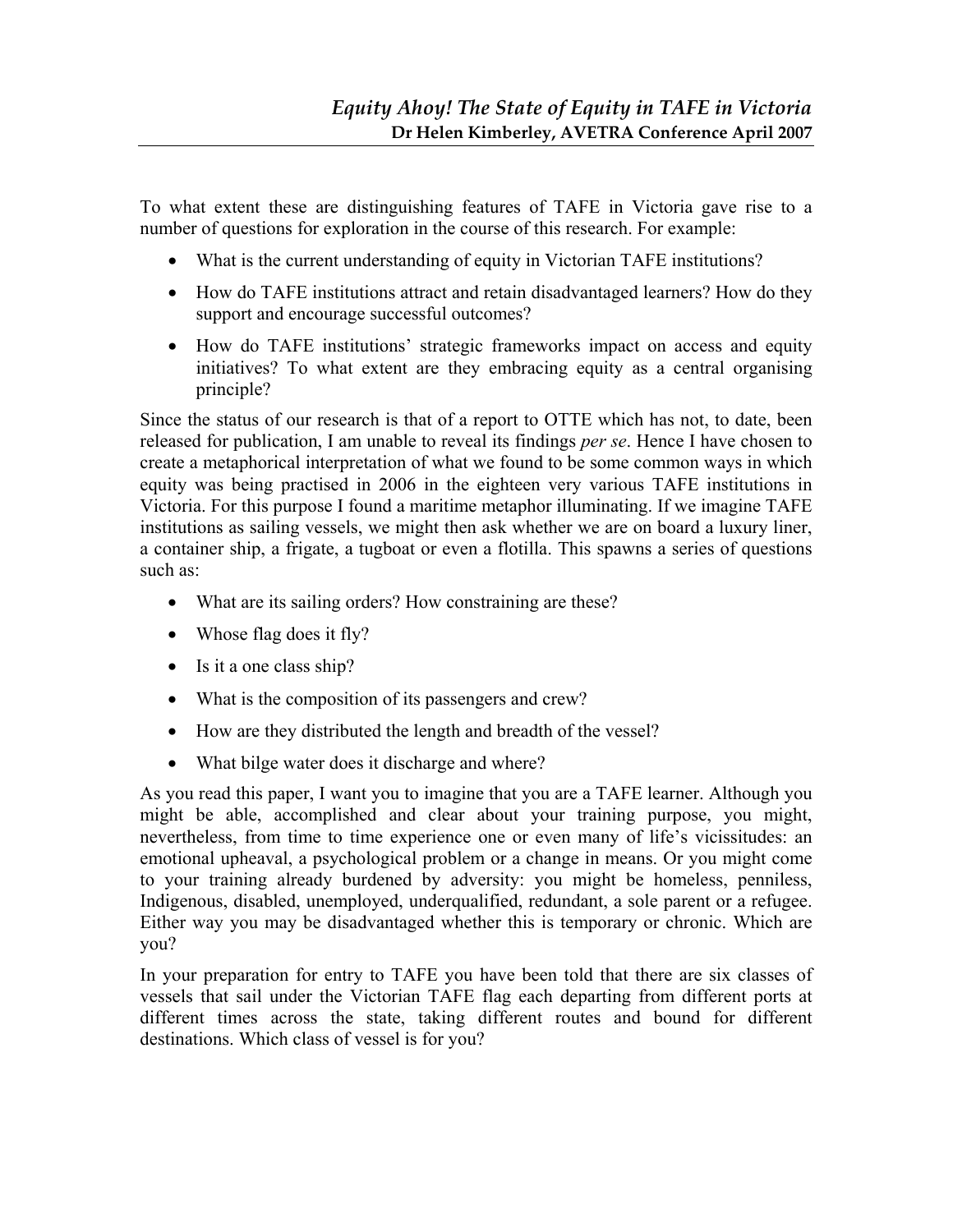To what extent these are distinguishing features of TAFE in Victoria gave rise to a number of questions for exploration in the course of this research. For example:

- What is the current understanding of equity in Victorian TAFE institutions?
- How do TAFE institutions attract and retain disadvantaged learners? How do they support and encourage successful outcomes?
- How do TAFE institutions' strategic frameworks impact on access and equity initiatives? To what extent are they embracing equity as a central organising principle?

Since the status of our research is that of a report to OTTE which has not, to date, been released for publication, I am unable to reveal its findings *per se*. Hence I have chosen to create a metaphorical interpretation of what we found to be some common ways in which equity was being practised in 2006 in the eighteen very various TAFE institutions in Victoria. For this purpose I found a maritime metaphor illuminating. If we imagine TAFE institutions as sailing vessels, we might then ask whether we are on board a luxury liner, a container ship, a frigate, a tugboat or even a flotilla. This spawns a series of questions such as:

- What are its sailing orders? How constraining are these?
- Whose flag does it fly?
- Is it a one class ship?
- What is the composition of its passengers and crew?
- How are they distributed the length and breadth of the vessel?
- What bilge water does it discharge and where?

As you read this paper, I want you to imagine that you are a TAFE learner. Although you might be able, accomplished and clear about your training purpose, you might, nevertheless, from time to time experience one or even many of life's vicissitudes: an emotional upheaval, a psychological problem or a change in means. Or you might come to your training already burdened by adversity: you might be homeless, penniless, Indigenous, disabled, unemployed, underqualified, redundant, a sole parent or a refugee. Either way you may be disadvantaged whether this is temporary or chronic. Which are you?

In your preparation for entry to TAFE you have been told that there are six classes of vessels that sail under the Victorian TAFE flag each departing from different ports at different times across the state, taking different routes and bound for different destinations. Which class of vessel is for you?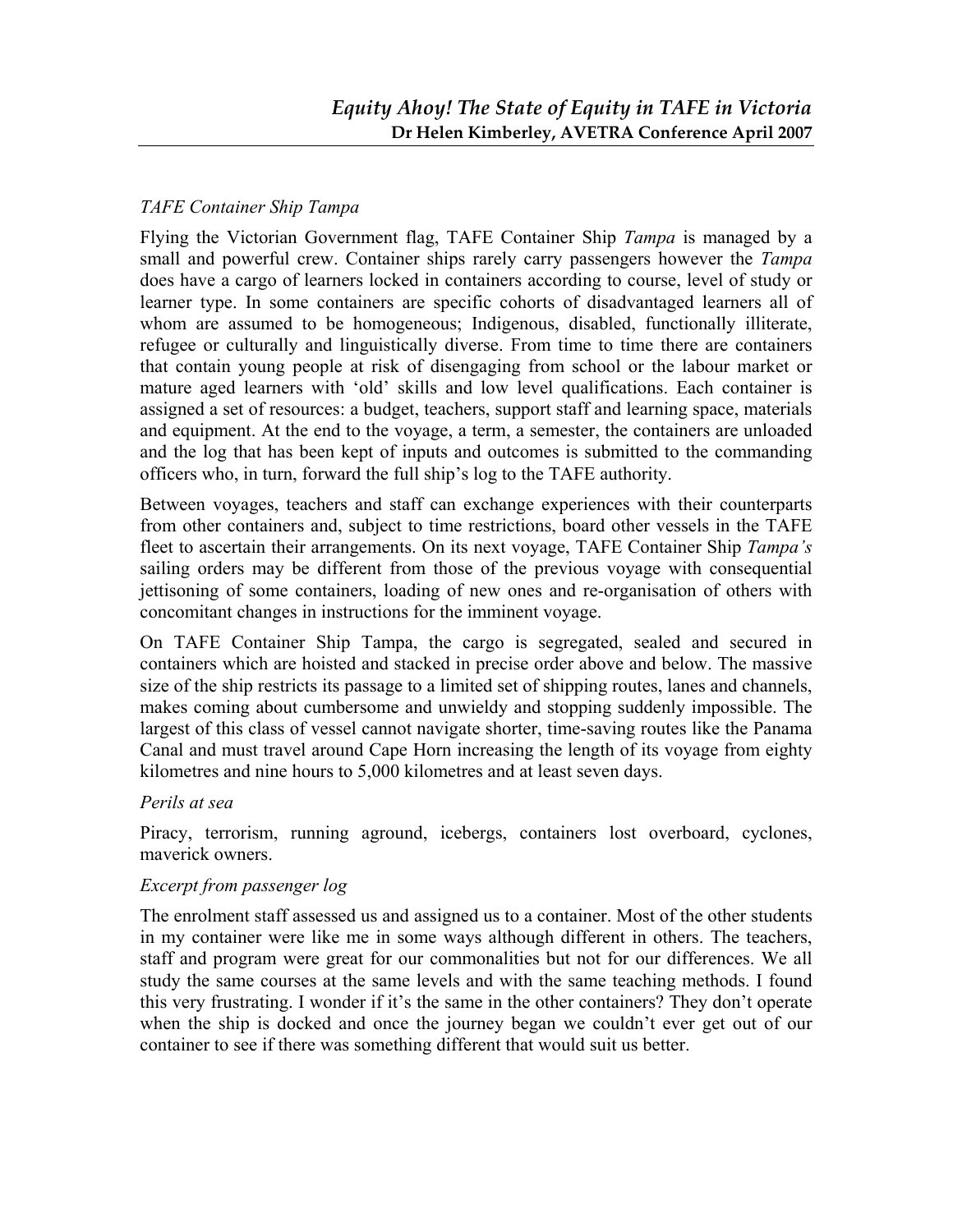#### *TAFE Container Ship Tampa*

Flying the Victorian Government flag, TAFE Container Ship *Tampa* is managed by a small and powerful crew. Container ships rarely carry passengers however the *Tampa* does have a cargo of learners locked in containers according to course, level of study or learner type. In some containers are specific cohorts of disadvantaged learners all of whom are assumed to be homogeneous; Indigenous, disabled, functionally illiterate, refugee or culturally and linguistically diverse. From time to time there are containers that contain young people at risk of disengaging from school or the labour market or mature aged learners with 'old' skills and low level qualifications. Each container is assigned a set of resources: a budget, teachers, support staff and learning space, materials and equipment. At the end to the voyage, a term, a semester, the containers are unloaded and the log that has been kept of inputs and outcomes is submitted to the commanding officers who, in turn, forward the full ship's log to the TAFE authority.

Between voyages, teachers and staff can exchange experiences with their counterparts from other containers and, subject to time restrictions, board other vessels in the TAFE fleet to ascertain their arrangements. On its next voyage, TAFE Container Ship *Tampa's* sailing orders may be different from those of the previous voyage with consequential jettisoning of some containers, loading of new ones and re-organisation of others with concomitant changes in instructions for the imminent voyage.

On TAFE Container Ship Tampa, the cargo is segregated, sealed and secured in containers which are hoisted and stacked in precise order above and below. The massive size of the ship restricts its passage to a limited set of shipping routes, lanes and channels, makes coming about cumbersome and unwieldy and stopping suddenly impossible. The largest of this class of vessel cannot navigate shorter, time-saving routes like the Panama Canal and must travel around Cape Horn increasing the length of its voyage from eighty kilometres and nine hours to 5,000 kilometres and at least seven days.

#### *Perils at sea*

Piracy, terrorism, running aground, icebergs, containers lost overboard, cyclones, maverick owners.

#### *Excerpt from passenger log*

The enrolment staff assessed us and assigned us to a container. Most of the other students in my container were like me in some ways although different in others. The teachers, staff and program were great for our commonalities but not for our differences. We all study the same courses at the same levels and with the same teaching methods. I found this very frustrating. I wonder if it's the same in the other containers? They don't operate when the ship is docked and once the journey began we couldn't ever get out of our container to see if there was something different that would suit us better.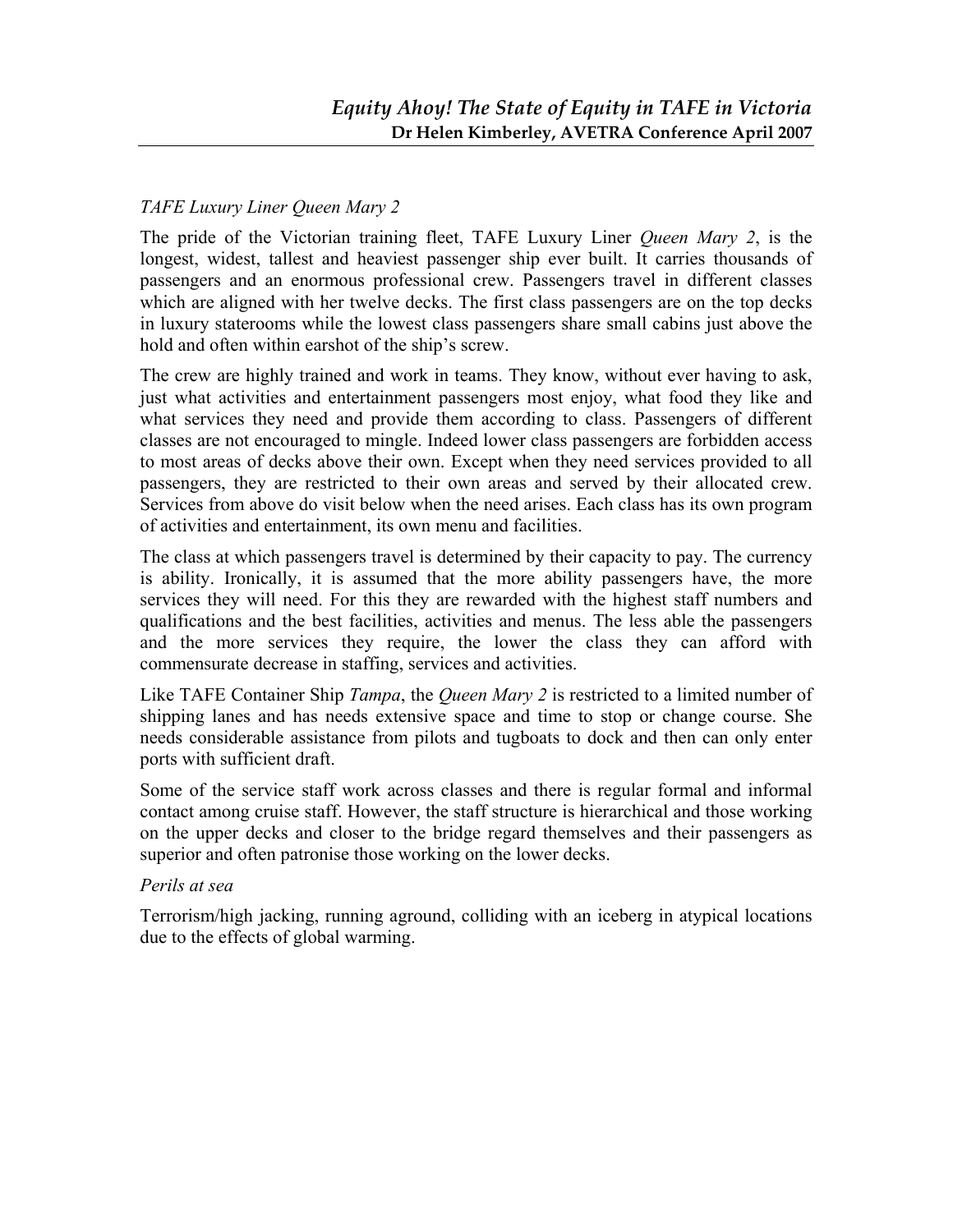### *TAFE Luxury Liner Queen Mary 2*

The pride of the Victorian training fleet, TAFE Luxury Liner *Queen Mary 2*, is the longest, widest, tallest and heaviest passenger ship ever built. It carries thousands of passengers and an enormous professional crew. Passengers travel in different classes which are aligned with her twelve decks. The first class passengers are on the top decks in luxury staterooms while the lowest class passengers share small cabins just above the hold and often within earshot of the ship's screw.

The crew are highly trained and work in teams. They know, without ever having to ask, just what activities and entertainment passengers most enjoy, what food they like and what services they need and provide them according to class. Passengers of different classes are not encouraged to mingle. Indeed lower class passengers are forbidden access to most areas of decks above their own. Except when they need services provided to all passengers, they are restricted to their own areas and served by their allocated crew. Services from above do visit below when the need arises. Each class has its own program of activities and entertainment, its own menu and facilities.

The class at which passengers travel is determined by their capacity to pay. The currency is ability. Ironically, it is assumed that the more ability passengers have, the more services they will need. For this they are rewarded with the highest staff numbers and qualifications and the best facilities, activities and menus. The less able the passengers and the more services they require, the lower the class they can afford with commensurate decrease in staffing, services and activities.

Like TAFE Container Ship *Tampa*, the *Queen Mary 2* is restricted to a limited number of shipping lanes and has needs extensive space and time to stop or change course. She needs considerable assistance from pilots and tugboats to dock and then can only enter ports with sufficient draft.

Some of the service staff work across classes and there is regular formal and informal contact among cruise staff. However, the staff structure is hierarchical and those working on the upper decks and closer to the bridge regard themselves and their passengers as superior and often patronise those working on the lower decks.

#### *Perils at sea*

Terrorism/high jacking, running aground, colliding with an iceberg in atypical locations due to the effects of global warming.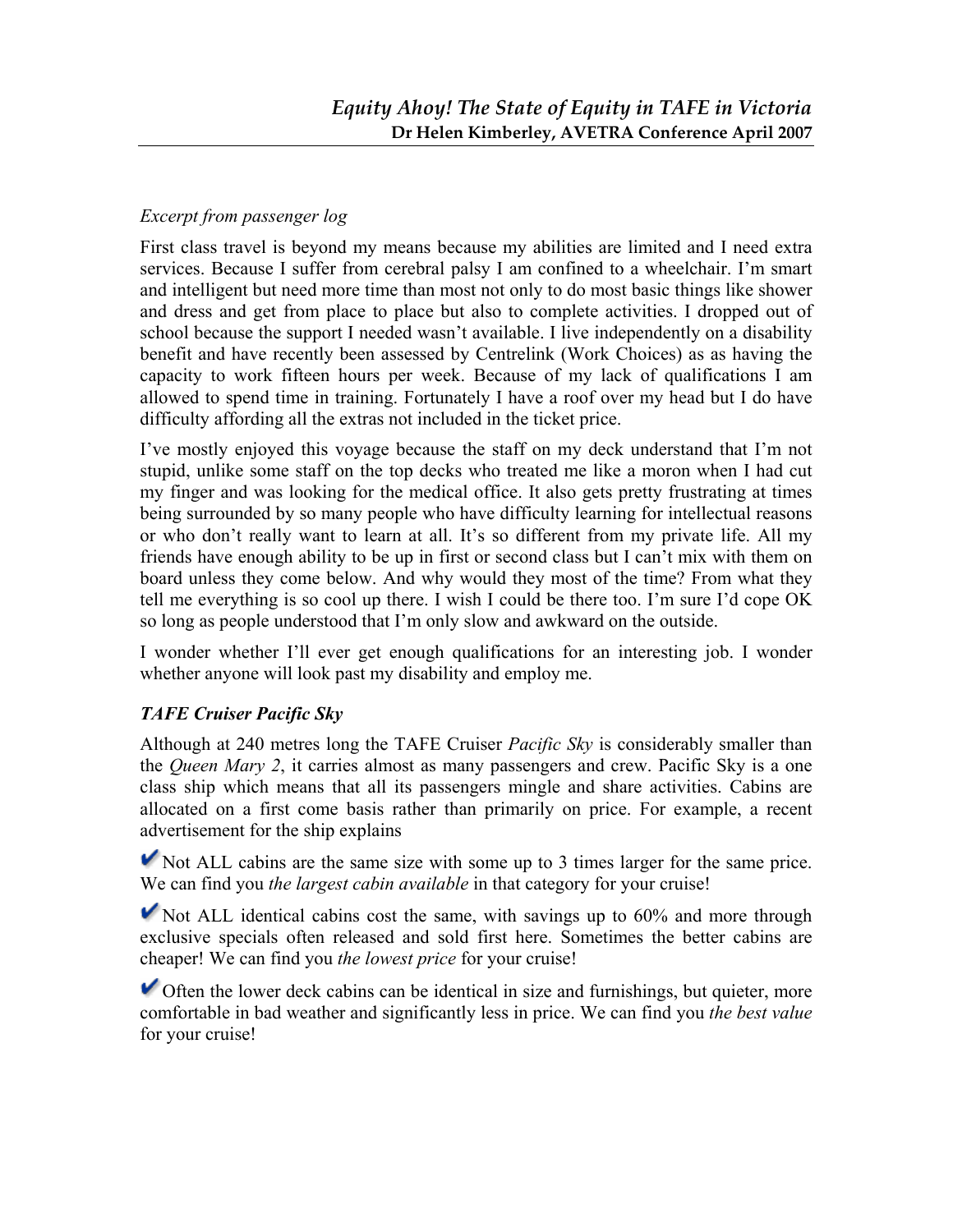## *Excerpt from passenger log*

First class travel is beyond my means because my abilities are limited and I need extra services. Because I suffer from cerebral palsy I am confined to a wheelchair. I'm smart and intelligent but need more time than most not only to do most basic things like shower and dress and get from place to place but also to complete activities. I dropped out of school because the support I needed wasn't available. I live independently on a disability benefit and have recently been assessed by Centrelink (Work Choices) as as having the capacity to work fifteen hours per week. Because of my lack of qualifications I am allowed to spend time in training. Fortunately I have a roof over my head but I do have difficulty affording all the extras not included in the ticket price.

I've mostly enjoyed this voyage because the staff on my deck understand that I'm not stupid, unlike some staff on the top decks who treated me like a moron when I had cut my finger and was looking for the medical office. It also gets pretty frustrating at times being surrounded by so many people who have difficulty learning for intellectual reasons or who don't really want to learn at all. It's so different from my private life. All my friends have enough ability to be up in first or second class but I can't mix with them on board unless they come below. And why would they most of the time? From what they tell me everything is so cool up there. I wish I could be there too. I'm sure I'd cope OK so long as people understood that I'm only slow and awkward on the outside.

I wonder whether I'll ever get enough qualifications for an interesting job. I wonder whether anyone will look past my disability and employ me.

# *TAFE Cruiser Pacific Sky*

Although at 240 metres long the TAFE Cruiser *Pacific Sky* is considerably smaller than the *Queen Mary 2*, it carries almost as many passengers and crew. Pacific Sky is a one class ship which means that all its passengers mingle and share activities. Cabins are allocated on a first come basis rather than primarily on price. For example, a recent advertisement for the ship explains

Not ALL cabins are the same size with some up to 3 times larger for the same price. We can find you *the largest cabin available* in that category for your cruise!

 $\blacktriangleright$  Not ALL identical cabins cost the same, with savings up to 60% and more through exclusive specials often released and sold first here. Sometimes the better cabins are cheaper! We can find you *the lowest price* for your cruise!

 $\triangleright$  Often the lower deck cabins can be identical in size and furnishings, but quieter, more comfortable in bad weather and significantly less in price. We can find you *the best value* for your cruise!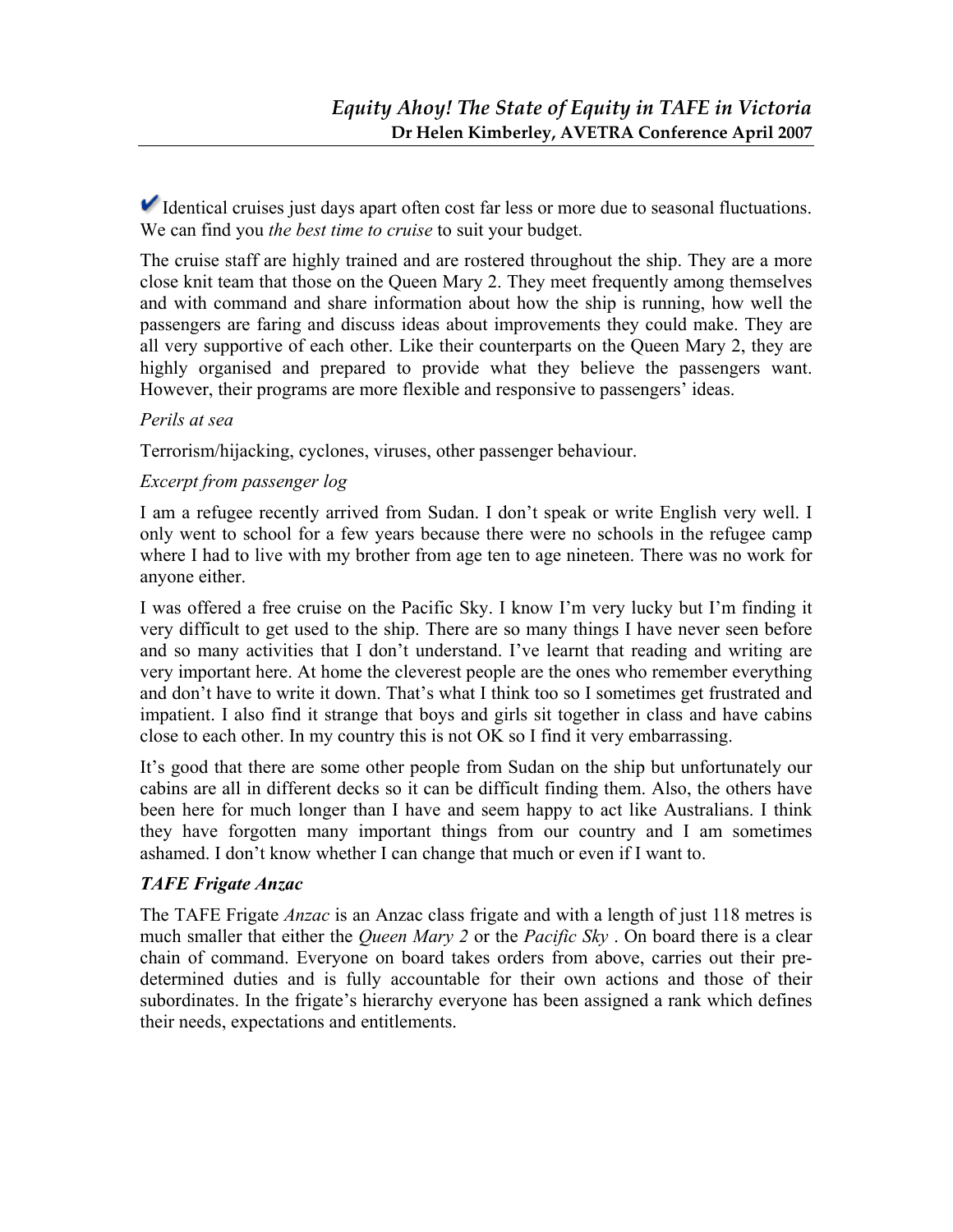Identical cruises just days apart often cost far less or more due to seasonal fluctuations. We can find you *the best time to cruise* to suit your budget.

The cruise staff are highly trained and are rostered throughout the ship. They are a more close knit team that those on the Queen Mary 2. They meet frequently among themselves and with command and share information about how the ship is running, how well the passengers are faring and discuss ideas about improvements they could make. They are all very supportive of each other. Like their counterparts on the Queen Mary 2, they are highly organised and prepared to provide what they believe the passengers want. However, their programs are more flexible and responsive to passengers' ideas.

#### *Perils at sea*

Terrorism/hijacking, cyclones, viruses, other passenger behaviour.

#### *Excerpt from passenger log*

I am a refugee recently arrived from Sudan. I don't speak or write English very well. I only went to school for a few years because there were no schools in the refugee camp where I had to live with my brother from age ten to age nineteen. There was no work for anyone either.

I was offered a free cruise on the Pacific Sky. I know I'm very lucky but I'm finding it very difficult to get used to the ship. There are so many things I have never seen before and so many activities that I don't understand. I've learnt that reading and writing are very important here. At home the cleverest people are the ones who remember everything and don't have to write it down. That's what I think too so I sometimes get frustrated and impatient. I also find it strange that boys and girls sit together in class and have cabins close to each other. In my country this is not OK so I find it very embarrassing.

It's good that there are some other people from Sudan on the ship but unfortunately our cabins are all in different decks so it can be difficult finding them. Also, the others have been here for much longer than I have and seem happy to act like Australians. I think they have forgotten many important things from our country and I am sometimes ashamed. I don't know whether I can change that much or even if I want to.

#### *TAFE Frigate Anzac*

The TAFE Frigate *Anzac* is an Anzac class frigate and with a length of just 118 metres is much smaller that either the *Queen Mary 2* or the *Pacific Sky* . On board there is a clear chain of command. Everyone on board takes orders from above, carries out their predetermined duties and is fully accountable for their own actions and those of their subordinates. In the frigate's hierarchy everyone has been assigned a rank which defines their needs, expectations and entitlements.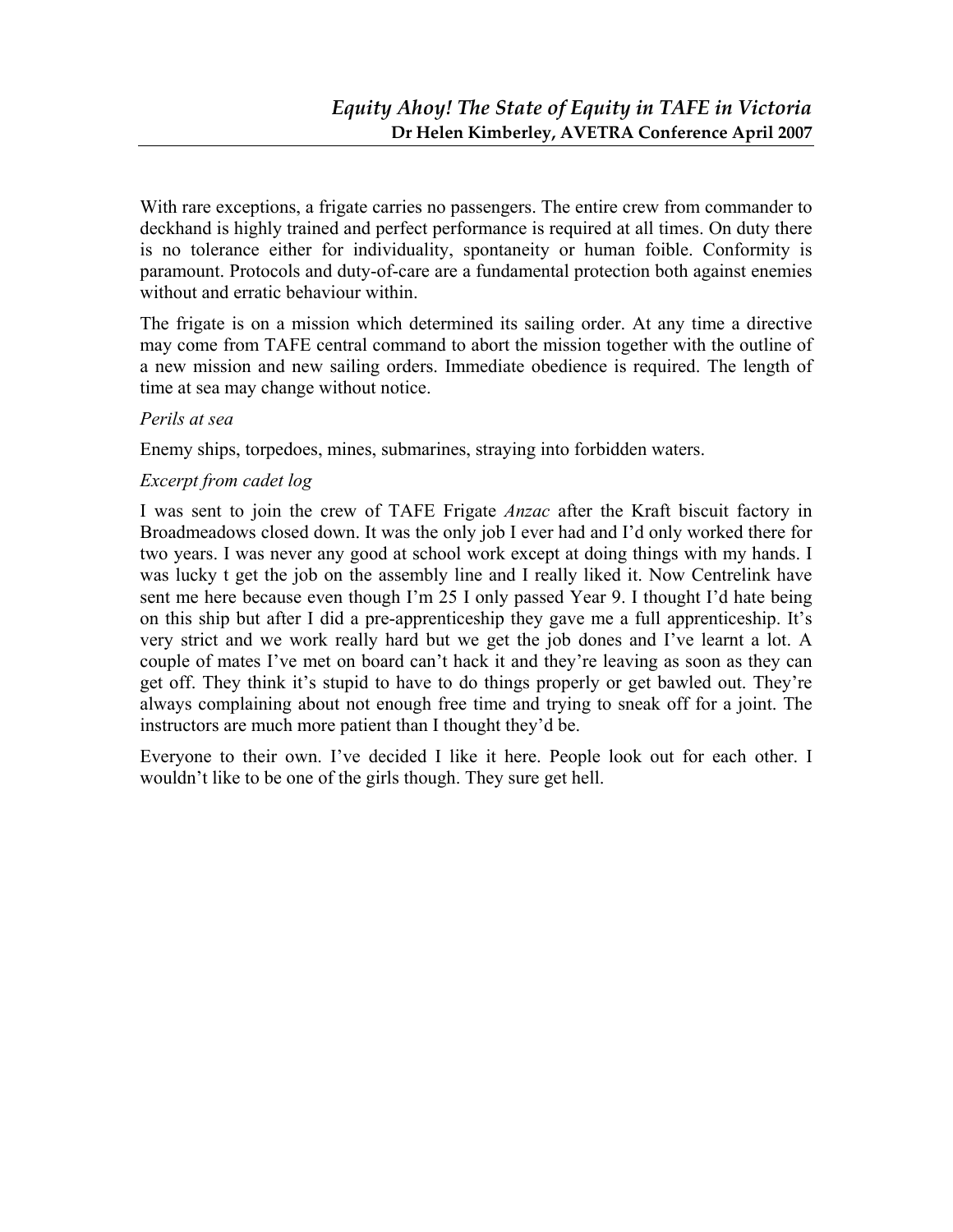With rare exceptions, a frigate carries no passengers. The entire crew from commander to deckhand is highly trained and perfect performance is required at all times. On duty there is no tolerance either for individuality, spontaneity or human foible. Conformity is paramount. Protocols and duty-of-care are a fundamental protection both against enemies without and erratic behaviour within.

The frigate is on a mission which determined its sailing order. At any time a directive may come from TAFE central command to abort the mission together with the outline of a new mission and new sailing orders. Immediate obedience is required. The length of time at sea may change without notice.

#### *Perils at sea*

Enemy ships, torpedoes, mines, submarines, straying into forbidden waters.

#### *Excerpt from cadet log*

I was sent to join the crew of TAFE Frigate *Anzac* after the Kraft biscuit factory in Broadmeadows closed down. It was the only job I ever had and I'd only worked there for two years. I was never any good at school work except at doing things with my hands. I was lucky t get the job on the assembly line and I really liked it. Now Centrelink have sent me here because even though I'm 25 I only passed Year 9. I thought I'd hate being on this ship but after I did a pre-apprenticeship they gave me a full apprenticeship. It's very strict and we work really hard but we get the job dones and I've learnt a lot. A couple of mates I've met on board can't hack it and they're leaving as soon as they can get off. They think it's stupid to have to do things properly or get bawled out. They're always complaining about not enough free time and trying to sneak off for a joint. The instructors are much more patient than I thought they'd be.

Everyone to their own. I've decided I like it here. People look out for each other. I wouldn't like to be one of the girls though. They sure get hell.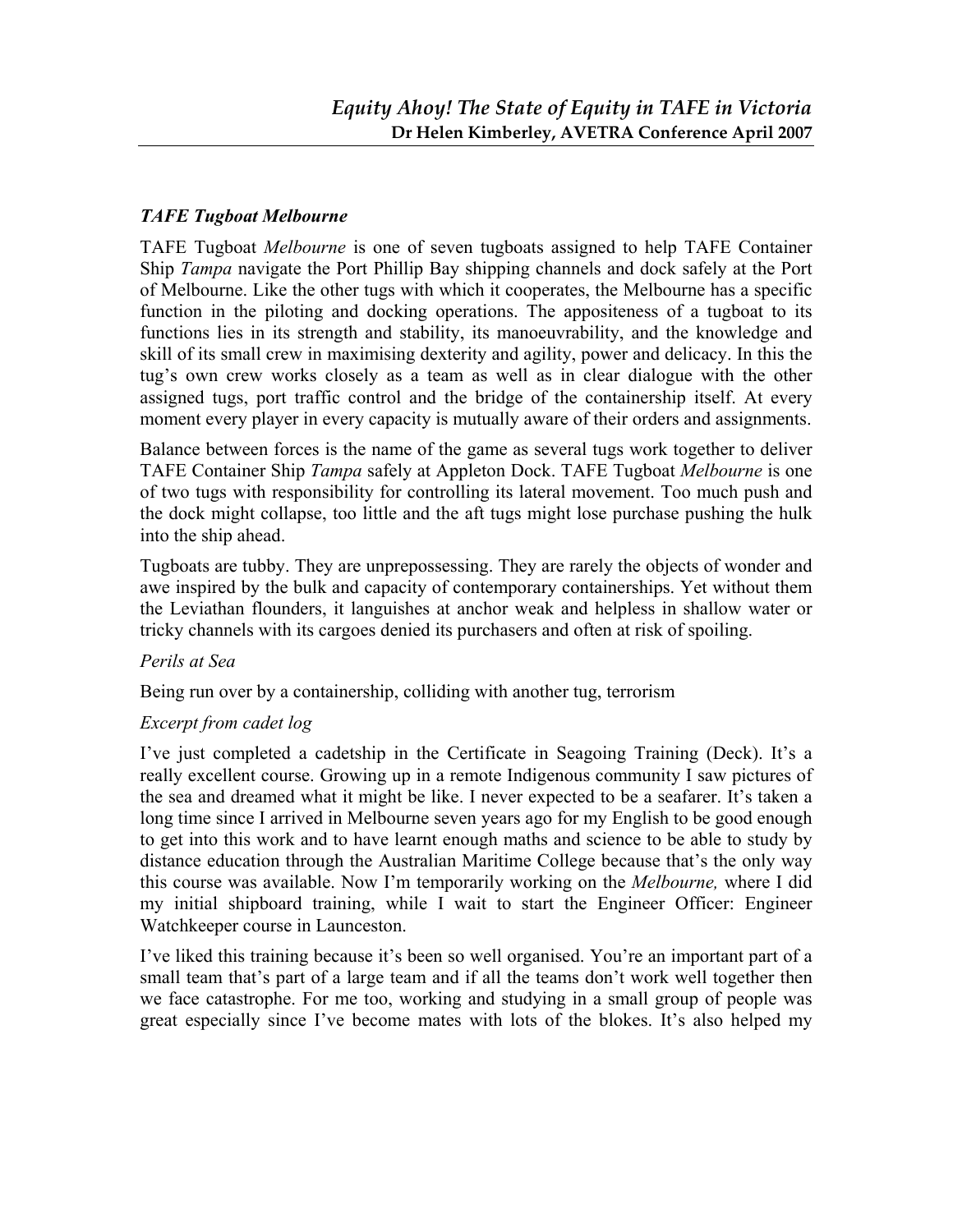### *TAFE Tugboat Melbourne*

TAFE Tugboat *Melbourne* is one of seven tugboats assigned to help TAFE Container Ship *Tampa* navigate the Port Phillip Bay shipping channels and dock safely at the Port of Melbourne. Like the other tugs with which it cooperates, the Melbourne has a specific function in the piloting and docking operations. The appositeness of a tugboat to its functions lies in its strength and stability, its manoeuvrability, and the knowledge and skill of its small crew in maximising dexterity and agility, power and delicacy. In this the tug's own crew works closely as a team as well as in clear dialogue with the other assigned tugs, port traffic control and the bridge of the containership itself. At every moment every player in every capacity is mutually aware of their orders and assignments.

Balance between forces is the name of the game as several tugs work together to deliver TAFE Container Ship *Tampa* safely at Appleton Dock. TAFE Tugboat *Melbourne* is one of two tugs with responsibility for controlling its lateral movement. Too much push and the dock might collapse, too little and the aft tugs might lose purchase pushing the hulk into the ship ahead.

Tugboats are tubby. They are unprepossessing. They are rarely the objects of wonder and awe inspired by the bulk and capacity of contemporary containerships. Yet without them the Leviathan flounders, it languishes at anchor weak and helpless in shallow water or tricky channels with its cargoes denied its purchasers and often at risk of spoiling.

#### *Perils at Sea*

Being run over by a containership, colliding with another tug, terrorism

### *Excerpt from cadet log*

I've just completed a cadetship in the Certificate in Seagoing Training (Deck). It's a really excellent course. Growing up in a remote Indigenous community I saw pictures of the sea and dreamed what it might be like. I never expected to be a seafarer. It's taken a long time since I arrived in Melbourne seven years ago for my English to be good enough to get into this work and to have learnt enough maths and science to be able to study by distance education through the Australian Maritime College because that's the only way this course was available. Now I'm temporarily working on the *Melbourne,* where I did my initial shipboard training, while I wait to start the Engineer Officer: Engineer Watchkeeper course in Launceston.

I've liked this training because it's been so well organised. You're an important part of a small team that's part of a large team and if all the teams don't work well together then we face catastrophe. For me too, working and studying in a small group of people was great especially since I've become mates with lots of the blokes. It's also helped my